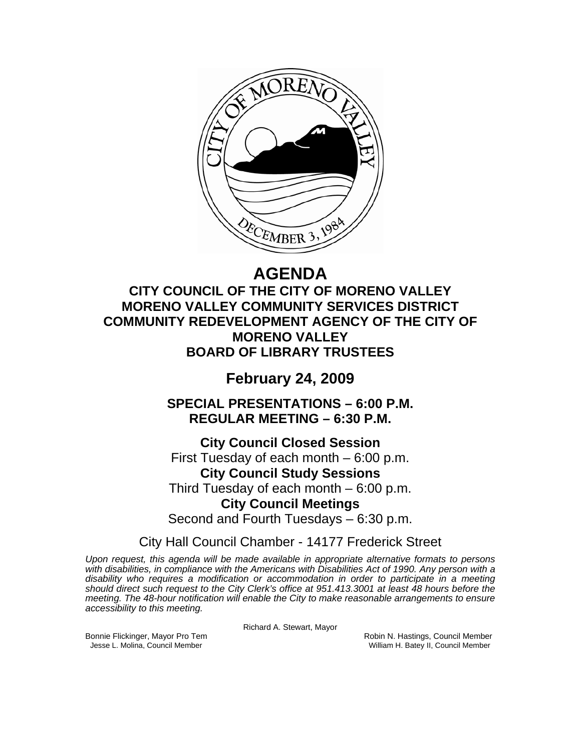

# **AGENDA**

**CITY COUNCIL OF THE CITY OF MORENO VALLEY MORENO VALLEY COMMUNITY SERVICES DISTRICT COMMUNITY REDEVELOPMENT AGENCY OF THE CITY OF MORENO VALLEY BOARD OF LIBRARY TRUSTEES** 

**February 24, 2009** 

**SPECIAL PRESENTATIONS – 6:00 P.M. REGULAR MEETING – 6:30 P.M.** 

**City Council Closed Session**  First Tuesday of each month – 6:00 p.m. **City Council Study Sessions**  Third Tuesday of each month – 6:00 p.m. **City Council Meetings**  Second and Fourth Tuesdays – 6:30 p.m.

City Hall Council Chamber - 14177 Frederick Street

*Upon request, this agenda will be made available in appropriate alternative formats to persons with disabilities, in compliance with the Americans with Disabilities Act of 1990. Any person with a disability who requires a modification or accommodation in order to participate in a meeting should direct such request to the City Clerk's office at 951.413.3001 at least 48 hours before the meeting. The 48-hour notification will enable the City to make reasonable arrangements to ensure accessibility to this meeting.* 

Richard A. Stewart, Mayor

Bonnie Flickinger, Mayor Pro Tem **Robin Accommon Connect Accommon Robin N. Hastings, Council Member** Jesse L. Molina, Council Member William H. Batey II, Council Member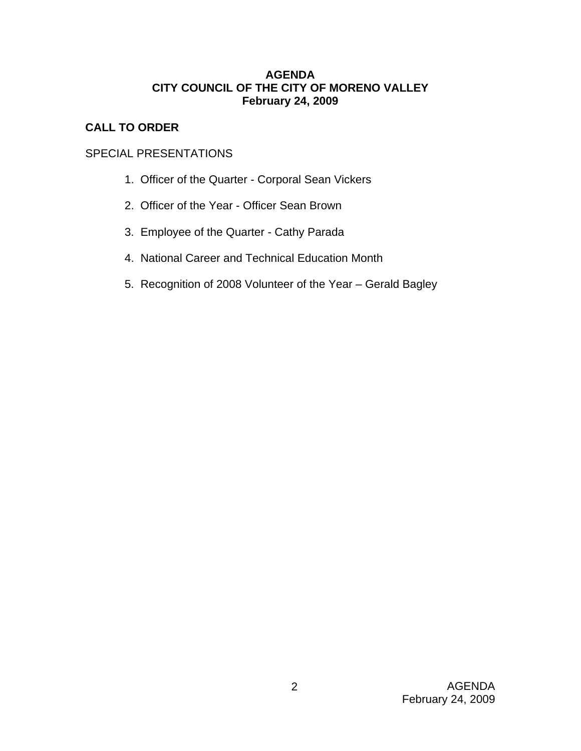## **AGENDA CITY COUNCIL OF THE CITY OF MORENO VALLEY February 24, 2009**

# **CALL TO ORDER**

# SPECIAL PRESENTATIONS

- 1. Officer of the Quarter Corporal Sean Vickers
- 2. Officer of the Year Officer Sean Brown
- 3. Employee of the Quarter Cathy Parada
- 4. National Career and Technical Education Month
- 5. Recognition of 2008 Volunteer of the Year Gerald Bagley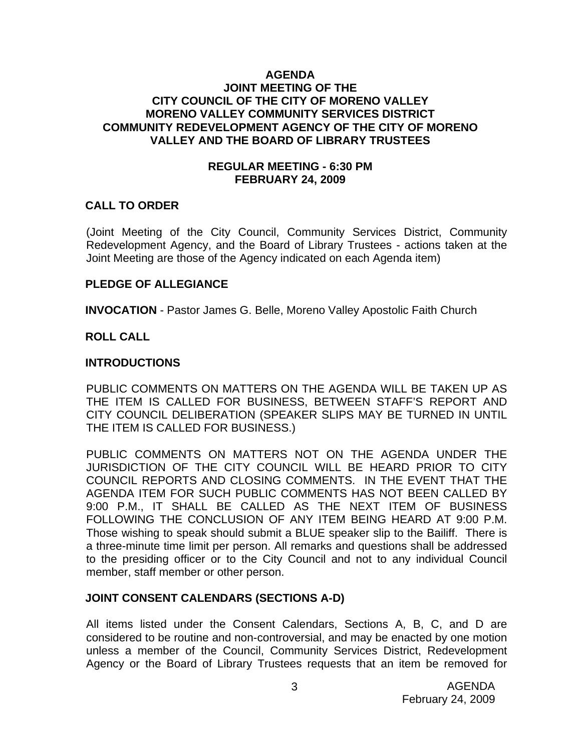### **AGENDA JOINT MEETING OF THE CITY COUNCIL OF THE CITY OF MORENO VALLEY MORENO VALLEY COMMUNITY SERVICES DISTRICT COMMUNITY REDEVELOPMENT AGENCY OF THE CITY OF MORENO VALLEY AND THE BOARD OF LIBRARY TRUSTEES**

### **REGULAR MEETING - 6:30 PM FEBRUARY 24, 2009**

### **CALL TO ORDER**

(Joint Meeting of the City Council, Community Services District, Community Redevelopment Agency, and the Board of Library Trustees - actions taken at the Joint Meeting are those of the Agency indicated on each Agenda item)

#### **PLEDGE OF ALLEGIANCE**

**INVOCATION** - Pastor James G. Belle, Moreno Valley Apostolic Faith Church

### **ROLL CALL**

#### **INTRODUCTIONS**

PUBLIC COMMENTS ON MATTERS ON THE AGENDA WILL BE TAKEN UP AS THE ITEM IS CALLED FOR BUSINESS, BETWEEN STAFF'S REPORT AND CITY COUNCIL DELIBERATION (SPEAKER SLIPS MAY BE TURNED IN UNTIL THE ITEM IS CALLED FOR BUSINESS.)

PUBLIC COMMENTS ON MATTERS NOT ON THE AGENDA UNDER THE JURISDICTION OF THE CITY COUNCIL WILL BE HEARD PRIOR TO CITY COUNCIL REPORTS AND CLOSING COMMENTS. IN THE EVENT THAT THE AGENDA ITEM FOR SUCH PUBLIC COMMENTS HAS NOT BEEN CALLED BY 9:00 P.M., IT SHALL BE CALLED AS THE NEXT ITEM OF BUSINESS FOLLOWING THE CONCLUSION OF ANY ITEM BEING HEARD AT 9:00 P.M. Those wishing to speak should submit a BLUE speaker slip to the Bailiff. There is a three-minute time limit per person. All remarks and questions shall be addressed to the presiding officer or to the City Council and not to any individual Council member, staff member or other person.

### **JOINT CONSENT CALENDARS (SECTIONS A-D)**

All items listed under the Consent Calendars, Sections A, B, C, and D are considered to be routine and non-controversial, and may be enacted by one motion unless a member of the Council, Community Services District, Redevelopment Agency or the Board of Library Trustees requests that an item be removed for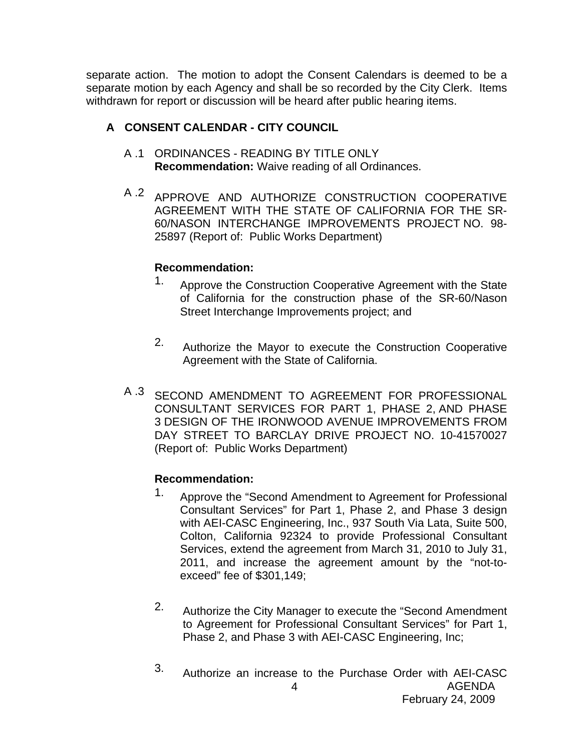separate action. The motion to adopt the Consent Calendars is deemed to be a separate motion by each Agency and shall be so recorded by the City Clerk. Items withdrawn for report or discussion will be heard after public hearing items.

# **A CONSENT CALENDAR - CITY COUNCIL**

- A .1 ORDINANCES READING BY TITLE ONLY **Recommendation:** Waive reading of all Ordinances.
- A .2 APPROVE AND AUTHORIZE CONSTRUCTION COOPERATIVE AGREEMENT WITH THE STATE OF CALIFORNIA FOR THE SR-60/NASON INTERCHANGE IMPROVEMENTS PROJECT NO. 98- 25897 (Report of: Public Works Department)

# **Recommendation:**

- 1. Approve the Construction Cooperative Agreement with the State of California for the construction phase of the SR-60/Nason Street Interchange Improvements project; and
- 2. Authorize the Mayor to execute the Construction Cooperative Agreement with the State of California.
- A .3 SECOND AMENDMENT TO AGREEMENT FOR PROFESSIONAL CONSULTANT SERVICES FOR PART 1, PHASE 2, AND PHASE 3 DESIGN OF THE IRONWOOD AVENUE IMPROVEMENTS FROM DAY STREET TO BARCLAY DRIVE PROJECT NO. 10-41570027 (Report of: Public Works Department)

# **Recommendation:**

- <sup>1.</sup> Approve the "Second Amendment to Agreement for Professional Consultant Services" for Part 1, Phase 2, and Phase 3 design with AEI-CASC Engineering, Inc., 937 South Via Lata, Suite 500, Colton, California 92324 to provide Professional Consultant Services, extend the agreement from March 31, 2010 to July 31, 2011, and increase the agreement amount by the "not-toexceed" fee of \$301,149;
- 2. Authorize the City Manager to execute the "Second Amendment to Agreement for Professional Consultant Services" for Part 1, Phase 2, and Phase 3 with AEI-CASC Engineering, Inc;
- AGENDA 4 3. Authorize an increase to the Purchase Order with AEI-CASC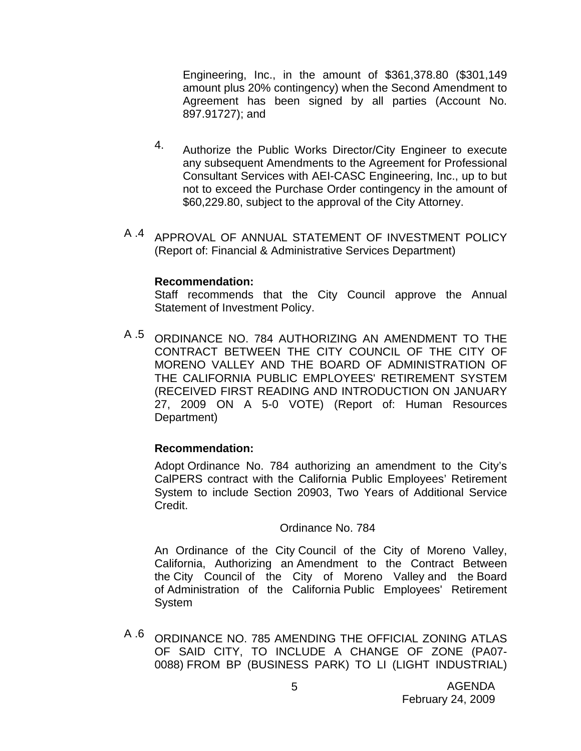Engineering, Inc., in the amount of \$361,378.80 (\$301,149 amount plus 20% contingency) when the Second Amendment to Agreement has been signed by all parties (Account No. 897.91727); and

- 4. Authorize the Public Works Director/City Engineer to execute any subsequent Amendments to the Agreement for Professional Consultant Services with AEI-CASC Engineering, Inc., up to but not to exceed the Purchase Order contingency in the amount of \$60,229.80, subject to the approval of the City Attorney.
- A .4 APPROVAL OF ANNUAL STATEMENT OF INVESTMENT POLICY (Report of: Financial & Administrative Services Department)

#### **Recommendation:**

Staff recommends that the City Council approve the Annual Statement of Investment Policy.

A .5 ORDINANCE NO. 784 AUTHORIZING AN AMENDMENT TO THE CONTRACT BETWEEN THE CITY COUNCIL OF THE CITY OF MORENO VALLEY AND THE BOARD OF ADMINISTRATION OF THE CALIFORNIA PUBLIC EMPLOYEES' RETIREMENT SYSTEM (RECEIVED FIRST READING AND INTRODUCTION ON JANUARY 27, 2009 ON A 5-0 VOTE) (Report of: Human Resources Department)

### **Recommendation:**

Adopt Ordinance No. 784 authorizing an amendment to the City's CalPERS contract with the California Public Employees' Retirement System to include Section 20903, Two Years of Additional Service Credit.

#### Ordinance No. 784

An Ordinance of the City Council of the City of Moreno Valley, California, Authorizing an Amendment to the Contract Between the City Council of the City of Moreno Valley and the Board of Administration of the California Public Employees' Retirement System

A .6 ORDINANCE NO. 785 AMENDING THE OFFICIAL ZONING ATLAS OF SAID CITY, TO INCLUDE A CHANGE OF ZONE (PA07- 0088) FROM BP (BUSINESS PARK) TO LI (LIGHT INDUSTRIAL)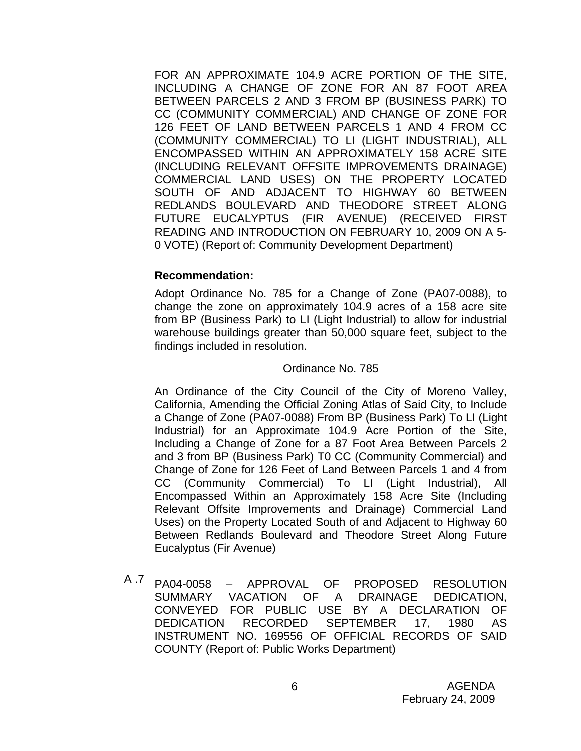FOR AN APPROXIMATE 104.9 ACRE PORTION OF THE SITE, INCLUDING A CHANGE OF ZONE FOR AN 87 FOOT AREA BETWEEN PARCELS 2 AND 3 FROM BP (BUSINESS PARK) TO CC (COMMUNITY COMMERCIAL) AND CHANGE OF ZONE FOR 126 FEET OF LAND BETWEEN PARCELS 1 AND 4 FROM CC (COMMUNITY COMMERCIAL) TO LI (LIGHT INDUSTRIAL), ALL ENCOMPASSED WITHIN AN APPROXIMATELY 158 ACRE SITE (INCLUDING RELEVANT OFFSITE IMPROVEMENTS DRAINAGE) COMMERCIAL LAND USES) ON THE PROPERTY LOCATED SOUTH OF AND ADJACENT TO HIGHWAY 60 BETWEEN REDLANDS BOULEVARD AND THEODORE STREET ALONG FUTURE EUCALYPTUS (FIR AVENUE) (RECEIVED FIRST READING AND INTRODUCTION ON FEBRUARY 10, 2009 ON A 5- 0 VOTE) (Report of: Community Development Department)

#### **Recommendation:**

Adopt Ordinance No. 785 for a Change of Zone (PA07-0088), to change the zone on approximately 104.9 acres of a 158 acre site from BP (Business Park) to LI (Light Industrial) to allow for industrial warehouse buildings greater than 50,000 square feet, subject to the findings included in resolution.

#### Ordinance No. 785

An Ordinance of the City Council of the City of Moreno Valley, California, Amending the Official Zoning Atlas of Said City, to Include a Change of Zone (PA07-0088) From BP (Business Park) To LI (Light Industrial) for an Approximate 104.9 Acre Portion of the Site, Including a Change of Zone for a 87 Foot Area Between Parcels 2 and 3 from BP (Business Park) T0 CC (Community Commercial) and Change of Zone for 126 Feet of Land Between Parcels 1 and 4 from CC (Community Commercial) To LI (Light Industrial), All Encompassed Within an Approximately 158 Acre Site (Including Relevant Offsite Improvements and Drainage) Commercial Land Uses) on the Property Located South of and Adjacent to Highway 60 Between Redlands Boulevard and Theodore Street Along Future Eucalyptus (Fir Avenue)

A .7 PA04-0058 – APPROVAL OF PROPOSED RESOLUTION SUMMARY VACATION OF A DRAINAGE DEDICATION, CONVEYED FOR PUBLIC USE BY A DECLARATION OF DEDICATION RECORDED SEPTEMBER 17, 1980 AS INSTRUMENT NO. 169556 OF OFFICIAL RECORDS OF SAID COUNTY (Report of: Public Works Department)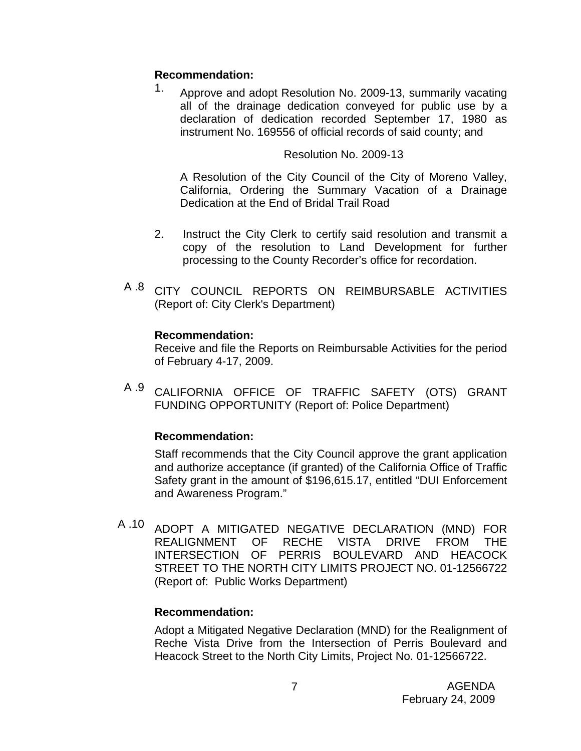# **Recommendation:**

1. Approve and adopt Resolution No. 2009-13, summarily vacating all of the drainage dedication conveyed for public use by a declaration of dedication recorded September 17, 1980 as instrument No. 169556 of official records of said county; and

# Resolution No. 2009-13

A Resolution of the City Council of the City of Moreno Valley, California, Ordering the Summary Vacation of a Drainage Dedication at the End of Bridal Trail Road

- 2. Instruct the City Clerk to certify said resolution and transmit a copy of the resolution to Land Development for further processing to the County Recorder's office for recordation.
- A .8 CITY COUNCIL REPORTS ON REIMBURSABLE ACTIVITIES (Report of: City Clerk's Department)

# **Recommendation:**

Receive and file the Reports on Reimbursable Activities for the period of February 4-17, 2009.

A .9 CALIFORNIA OFFICE OF TRAFFIC SAFETY (OTS) GRANT FUNDING OPPORTUNITY (Report of: Police Department)

# **Recommendation:**

Staff recommends that the City Council approve the grant application and authorize acceptance (if granted) of the California Office of Traffic Safety grant in the amount of \$196,615.17, entitled "DUI Enforcement and Awareness Program."

A .10 ADOPT A MITIGATED NEGATIVE DECLARATION (MND) FOR REALIGNMENT OF RECHE VISTA DRIVE FROM THE INTERSECTION OF PERRIS BOULEVARD AND HEACOCK STREET TO THE NORTH CITY LIMITS PROJECT NO. 01-12566722 (Report of: Public Works Department)

# **Recommendation:**

Adopt a Mitigated Negative Declaration (MND) for the Realignment of Reche Vista Drive from the Intersection of Perris Boulevard and Heacock Street to the North City Limits, Project No. 01-12566722.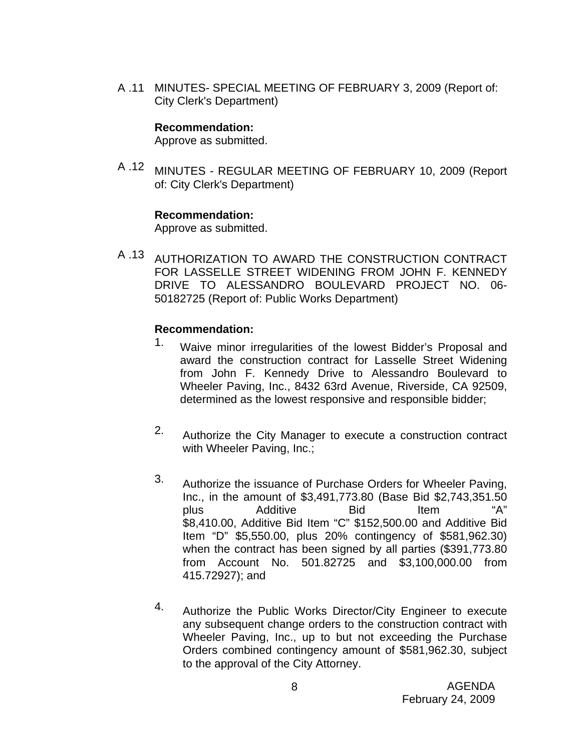A .11 MINUTES- SPECIAL MEETING OF FEBRUARY 3, 2009 (Report of: City Clerk's Department)

### **Recommendation:**

Approve as submitted.

A .12 MINUTES - REGULAR MEETING OF FEBRUARY 10, 2009 (Report of: City Clerk's Department)

#### **Recommendation:**

Approve as submitted.

A .13 AUTHORIZATION TO AWARD THE CONSTRUCTION CONTRACT FOR LASSELLE STREET WIDENING FROM JOHN F. KENNEDY DRIVE TO ALESSANDRO BOULEVARD PROJECT NO. 06- 50182725 (Report of: Public Works Department)

### **Recommendation:**

- 1. Waive minor irregularities of the lowest Bidder's Proposal and award the construction contract for Lasselle Street Widening from John F. Kennedy Drive to Alessandro Boulevard to Wheeler Paving, Inc., 8432 63rd Avenue, Riverside, CA 92509, determined as the lowest responsive and responsible bidder;
- 2. Authorize the City Manager to execute a construction contract with Wheeler Paving, Inc.;
- 3. Authorize the issuance of Purchase Orders for Wheeler Paving, Inc., in the amount of \$3,491,773.80 (Base Bid \$2,743,351.50 plus Additive Bid Item "A" \$8,410.00, Additive Bid Item "C" \$152,500.00 and Additive Bid Item "D" \$5,550.00, plus 20% contingency of \$581,962.30) when the contract has been signed by all parties (\$391,773.80 from Account No. 501.82725 and \$3,100,000.00 from 415.72927); and
- 4. Authorize the Public Works Director/City Engineer to execute any subsequent change orders to the construction contract with Wheeler Paving, Inc., up to but not exceeding the Purchase Orders combined contingency amount of \$581,962.30, subject to the approval of the City Attorney.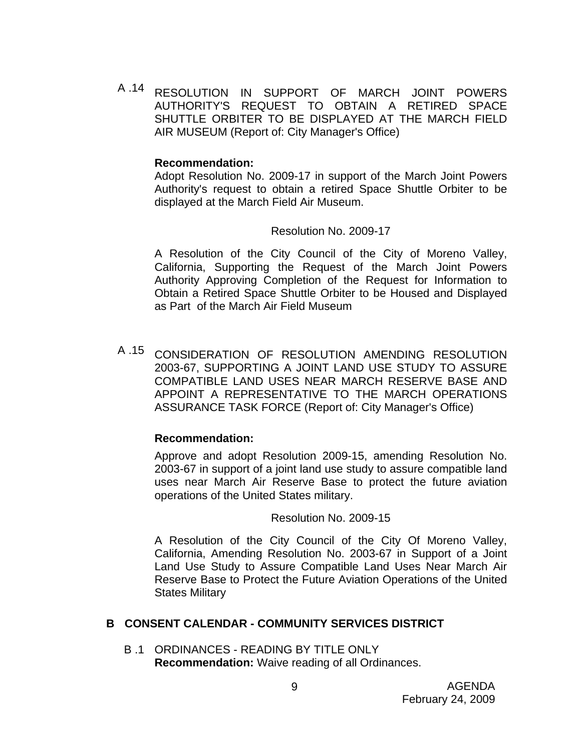A .14 RESOLUTION IN SUPPORT OF MARCH JOINT POWERS AUTHORITY'S REQUEST TO OBTAIN A RETIRED SPACE SHUTTLE ORBITER TO BE DISPLAYED AT THE MARCH FIELD AIR MUSEUM (Report of: City Manager's Office)

#### **Recommendation:**

Adopt Resolution No. 2009-17 in support of the March Joint Powers Authority's request to obtain a retired Space Shuttle Orbiter to be displayed at the March Field Air Museum.

#### Resolution No. 2009-17

A Resolution of the City Council of the City of Moreno Valley, California, Supporting the Request of the March Joint Powers Authority Approving Completion of the Request for Information to Obtain a Retired Space Shuttle Orbiter to be Housed and Displayed as Part of the March Air Field Museum

A .15 CONSIDERATION OF RESOLUTION AMENDING RESOLUTION 2003-67, SUPPORTING A JOINT LAND USE STUDY TO ASSURE COMPATIBLE LAND USES NEAR MARCH RESERVE BASE AND APPOINT A REPRESENTATIVE TO THE MARCH OPERATIONS ASSURANCE TASK FORCE (Report of: City Manager's Office)

#### **Recommendation:**

Approve and adopt Resolution 2009-15, amending Resolution No. 2003-67 in support of a joint land use study to assure compatible land uses near March Air Reserve Base to protect the future aviation operations of the United States military.

#### Resolution No. 2009-15

A Resolution of the City Council of the City Of Moreno Valley, California, Amending Resolution No. 2003-67 in Support of a Joint Land Use Study to Assure Compatible Land Uses Near March Air Reserve Base to Protect the Future Aviation Operations of the United States Military

#### **B CONSENT CALENDAR - COMMUNITY SERVICES DISTRICT**

B .1 ORDINANCES - READING BY TITLE ONLY **Recommendation:** Waive reading of all Ordinances.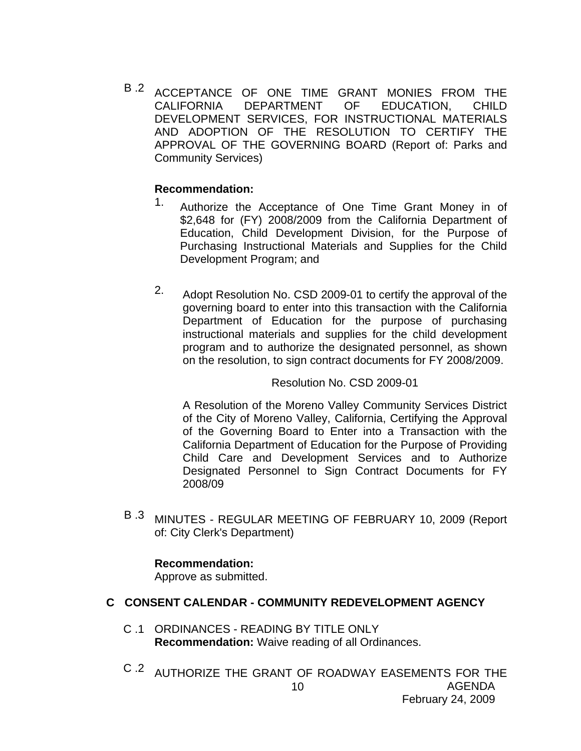B.2 ACCEPTANCE OF ONE TIME GRANT MONIES FROM THE CALIFORNIA DEPARTMENT OF EDUCATION, CHILD DEVELOPMENT SERVICES, FOR INSTRUCTIONAL MATERIALS AND ADOPTION OF THE RESOLUTION TO CERTIFY THE APPROVAL OF THE GOVERNING BOARD (Report of: Parks and Community Services)

# **Recommendation:**

- 1. Authorize the Acceptance of One Time Grant Money in of \$2,648 for (FY) 2008/2009 from the California Department of Education, Child Development Division, for the Purpose of Purchasing Instructional Materials and Supplies for the Child Development Program; and
- 2. Adopt Resolution No. CSD 2009-01 to certify the approval of the governing board to enter into this transaction with the California Department of Education for the purpose of purchasing instructional materials and supplies for the child development program and to authorize the designated personnel, as shown on the resolution, to sign contract documents for FY 2008/2009.

### Resolution No. CSD 2009-01

A Resolution of the Moreno Valley Community Services District of the City of Moreno Valley, California, Certifying the Approval of the Governing Board to Enter into a Transaction with the California Department of Education for the Purpose of Providing Child Care and Development Services and to Authorize Designated Personnel to Sign Contract Documents for FY 2008/09

B .3 MINUTES - REGULAR MEETING OF FEBRUARY 10, 2009 (Report of: City Clerk's Department)

### **Recommendation:**

Approve as submitted.

# **C CONSENT CALENDAR - COMMUNITY REDEVELOPMENT AGENCY**

- C .1 ORDINANCES READING BY TITLE ONLY **Recommendation:** Waive reading of all Ordinances.
- AGENDA February 24, 2009 10 C .2 AUTHORIZE THE GRANT OF ROADWAY EASEMENTS FOR THE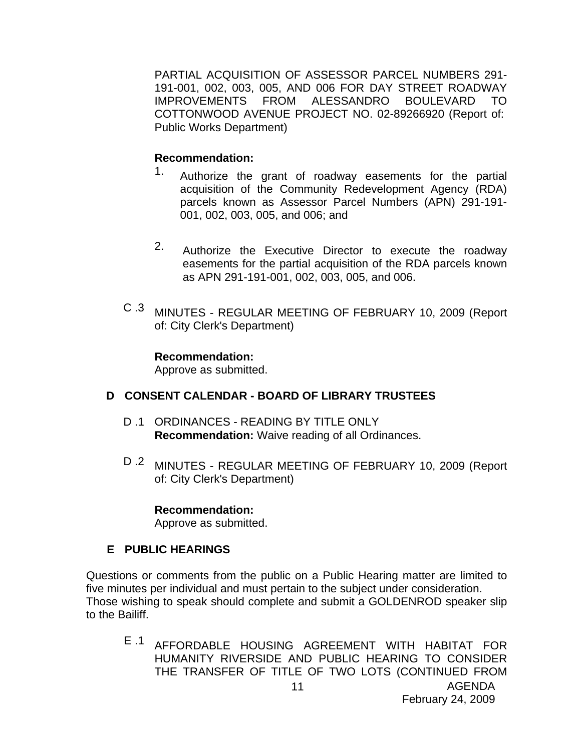PARTIAL ACQUISITION OF ASSESSOR PARCEL NUMBERS 291- 191-001, 002, 003, 005, AND 006 FOR DAY STREET ROADWAY IMPROVEMENTS FROM ALESSANDRO BOULEVARD TO COTTONWOOD AVENUE PROJECT NO. 02-89266920 (Report of: Public Works Department)

# **Recommendation:**

- 1. Authorize the grant of roadway easements for the partial acquisition of the Community Redevelopment Agency (RDA) parcels known as Assessor Parcel Numbers (APN) 291-191- 001, 002, 003, 005, and 006; and
- 2. Authorize the Executive Director to execute the roadway easements for the partial acquisition of the RDA parcels known as APN 291-191-001, 002, 003, 005, and 006.
- C .3 MINUTES REGULAR MEETING OF FEBRUARY 10, 2009 (Report of: City Clerk's Department)

**Recommendation:**  Approve as submitted.

# **D CONSENT CALENDAR - BOARD OF LIBRARY TRUSTEES**

- D .1 ORDINANCES READING BY TITLE ONLY **Recommendation:** Waive reading of all Ordinances.
- D .2 MINUTES REGULAR MEETING OF FEBRUARY 10, 2009 (Report of: City Clerk's Department)

### **Recommendation:**

Approve as submitted.

# **E PUBLIC HEARINGS**

Questions or comments from the public on a Public Hearing matter are limited to five minutes per individual and must pertain to the subject under consideration. Those wishing to speak should complete and submit a GOLDENROD speaker slip to the Bailiff.

E .1 AFFORDABLE HOUSING AGREEMENT WITH HABITAT FOR HUMANITY RIVERSIDE AND PUBLIC HEARING TO CONSIDER THE TRANSFER OF TITLE OF TWO LOTS (CONTINUED FROM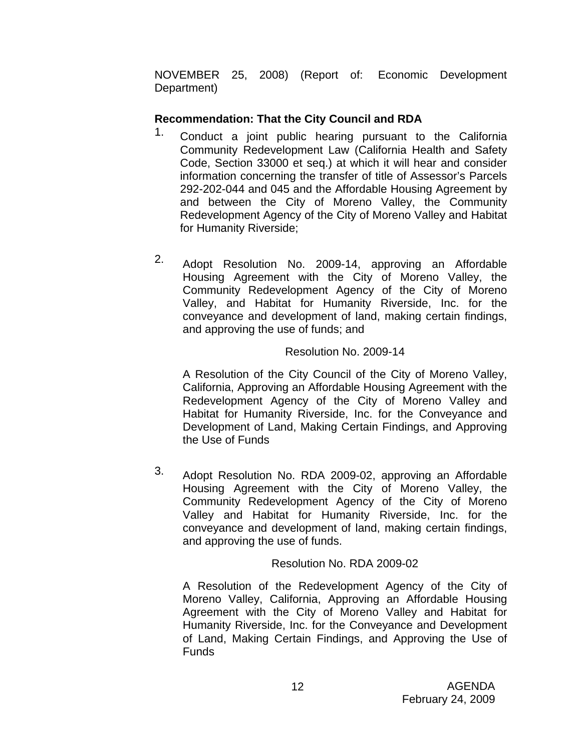NOVEMBER 25, 2008) (Report of: Economic Development Department)

# **Recommendation: That the City Council and RDA**

- <sup>1.</sup> Conduct a joint public hearing pursuant to the California Community Redevelopment Law (California Health and Safety Code, Section 33000 et seq.) at which it will hear and consider information concerning the transfer of title of Assessor's Parcels 292-202-044 and 045 and the Affordable Housing Agreement by and between the City of Moreno Valley, the Community Redevelopment Agency of the City of Moreno Valley and Habitat for Humanity Riverside;
- 2. Adopt Resolution No. 2009-14, approving an Affordable Housing Agreement with the City of Moreno Valley, the Community Redevelopment Agency of the City of Moreno Valley, and Habitat for Humanity Riverside, Inc. for the conveyance and development of land, making certain findings, and approving the use of funds; and

# Resolution No. 2009-14

A Resolution of the City Council of the City of Moreno Valley, California, Approving an Affordable Housing Agreement with the Redevelopment Agency of the City of Moreno Valley and Habitat for Humanity Riverside, Inc. for the Conveyance and Development of Land, Making Certain Findings, and Approving the Use of Funds

3. Adopt Resolution No. RDA 2009-02, approving an Affordable Housing Agreement with the City of Moreno Valley, the Community Redevelopment Agency of the City of Moreno Valley and Habitat for Humanity Riverside, Inc. for the conveyance and development of land, making certain findings, and approving the use of funds.

# Resolution No. RDA 2009-02

A Resolution of the Redevelopment Agency of the City of Moreno Valley, California, Approving an Affordable Housing Agreement with the City of Moreno Valley and Habitat for Humanity Riverside, Inc. for the Conveyance and Development of Land, Making Certain Findings, and Approving the Use of Funds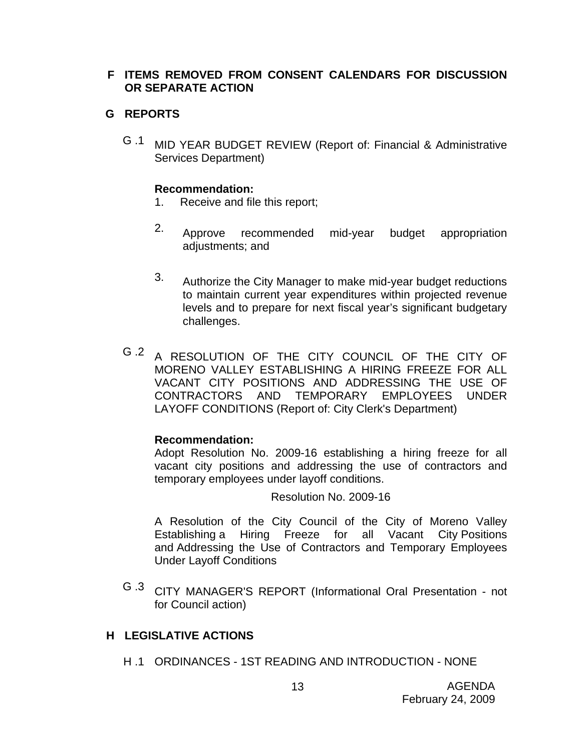# **F ITEMS REMOVED FROM CONSENT CALENDARS FOR DISCUSSION OR SEPARATE ACTION**

# **G REPORTS**

G .1 MID YEAR BUDGET REVIEW (Report of: Financial & Administrative Services Department)

### **Recommendation:**

- 1. Receive and file this report;
- 2. Approve recommended mid-year budget appropriation adjustments; and
- 3. Authorize the City Manager to make mid-year budget reductions to maintain current year expenditures within projected revenue levels and to prepare for next fiscal year's significant budgetary challenges.
- G .2 A RESOLUTION OF THE CITY COUNCIL OF THE CITY OF MORENO VALLEY ESTABLISHING A HIRING FREEZE FOR ALL VACANT CITY POSITIONS AND ADDRESSING THE USE OF CONTRACTORS AND TEMPORARY EMPLOYEES UNDER LAYOFF CONDITIONS (Report of: City Clerk's Department)

### **Recommendation:**

Adopt Resolution No. 2009-16 establishing a hiring freeze for all vacant city positions and addressing the use of contractors and temporary employees under layoff conditions.

Resolution No. 2009-16

A Resolution of the City Council of the City of Moreno Valley Establishing a Hiring Freeze for all Vacant City Positions and Addressing the Use of Contractors and Temporary Employees Under Layoff Conditions

G .3 CITY MANAGER'S REPORT (Informational Oral Presentation - not for Council action)

# **H LEGISLATIVE ACTIONS**

H .1 ORDINANCES - 1ST READING AND INTRODUCTION - NONE

13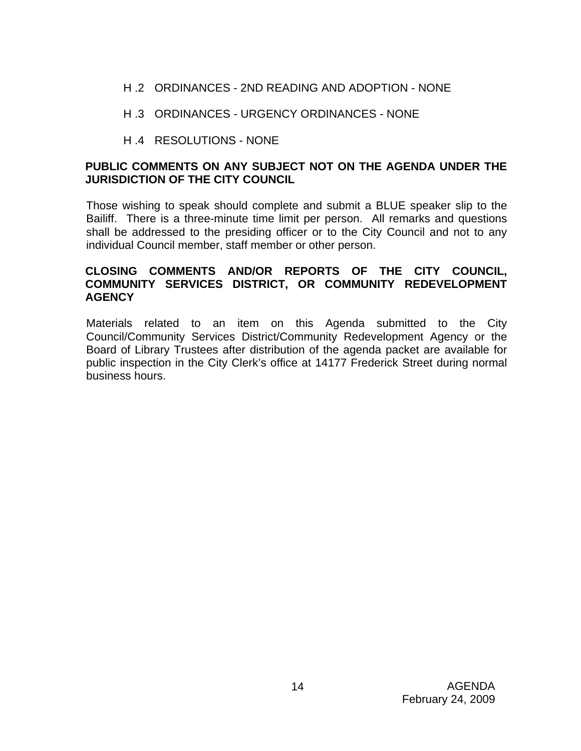- H .2 ORDINANCES 2ND READING AND ADOPTION NONE
- H .3 ORDINANCES URGENCY ORDINANCES NONE
- H .4 RESOLUTIONS NONE

# **PUBLIC COMMENTS ON ANY SUBJECT NOT ON THE AGENDA UNDER THE JURISDICTION OF THE CITY COUNCIL**

Those wishing to speak should complete and submit a BLUE speaker slip to the Bailiff. There is a three-minute time limit per person. All remarks and questions shall be addressed to the presiding officer or to the City Council and not to any individual Council member, staff member or other person.

# **CLOSING COMMENTS AND/OR REPORTS OF THE CITY COUNCIL, COMMUNITY SERVICES DISTRICT, OR COMMUNITY REDEVELOPMENT AGENCY**

Materials related to an item on this Agenda submitted to the City Council/Community Services District/Community Redevelopment Agency or the Board of Library Trustees after distribution of the agenda packet are available for public inspection in the City Clerk's office at 14177 Frederick Street during normal business hours.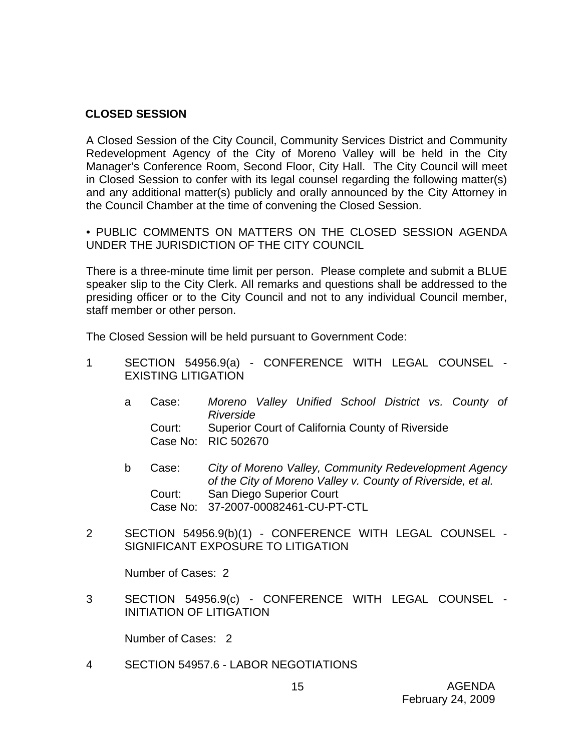## **CLOSED SESSION**

A Closed Session of the City Council, Community Services District and Community Redevelopment Agency of the City of Moreno Valley will be held in the City Manager's Conference Room, Second Floor, City Hall. The City Council will meet in Closed Session to confer with its legal counsel regarding the following matter(s) and any additional matter(s) publicly and orally announced by the City Attorney in the Council Chamber at the time of convening the Closed Session.

• PUBLIC COMMENTS ON MATTERS ON THE CLOSED SESSION AGENDA UNDER THE JURISDICTION OF THE CITY COUNCIL

There is a three-minute time limit per person. Please complete and submit a BLUE speaker slip to the City Clerk. All remarks and questions shall be addressed to the presiding officer or to the City Council and not to any individual Council member, staff member or other person.

The Closed Session will be held pursuant to Government Code:

- 1 SECTION 54956.9(a) CONFERENCE WITH LEGAL COUNSEL EXISTING LITIGATION
	- a Case: *Moreno Valley Unified School District vs. County of Riverside*  Court: Superior Court of California County of Riverside Case No: RIC 502670
	- b Case: *City of Moreno Valley, Community Redevelopment Agency of the City of Moreno Valley v. County of Riverside, et al.*  Court: San Diego Superior Court Case No: 37-2007-00082461-CU-PT-CTL
- 2 SECTION 54956.9(b)(1) CONFERENCE WITH LEGAL COUNSEL SIGNIFICANT EXPOSURE TO LITIGATION

Number of Cases: 2

3 SECTION 54956.9(c) - CONFERENCE WITH LEGAL COUNSEL - INITIATION OF LITIGATION

Number of Cases: 2

4 SECTION 54957.6 - LABOR NEGOTIATIONS